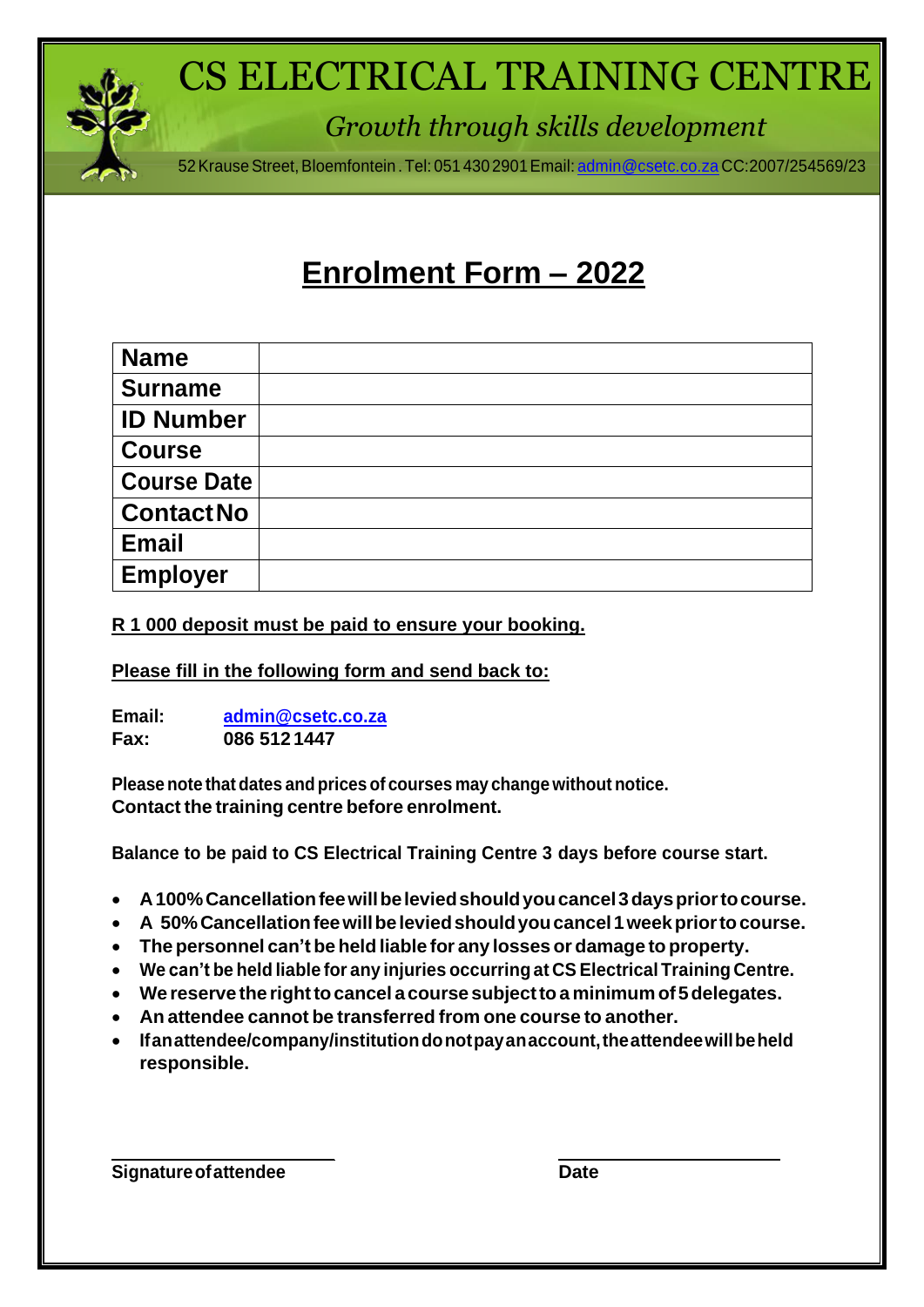

# CS ELECTRICAL TRAINING CENTRE

*Growth through skills development*

52 Krause Street, Bloemfontein . Tel: 051 430 2901 Email: [admin@csetc.co.za](mailto:admin@csetc.co.za) CC:2007/254569/23

# **Enrolment Form – 2022**

| <b>Name</b>        |  |
|--------------------|--|
| <b>Surname</b>     |  |
| <b>ID Number</b>   |  |
| <b>Course</b>      |  |
| <b>Course Date</b> |  |
| <b>Contact No</b>  |  |
| <b>Email</b>       |  |
| <b>Employer</b>    |  |

**R 1 000 deposit must be paid to ensure your booking.**

**Please fill in the following form and send back to:**

**Email: [admin@csetc.co.za](mailto:admin@csetc.co.za) Fax: 086 512 1447**

**Please note that dates and prices of courses may change without notice. Contact the training centre before enrolment.**

**Balance to be paid to CS Electrical Training Centre 3 days before course start.**

- **A100%Cancellationfeewillbeleviedshouldyoucancel3dayspriortocourse.**
- **A 50%Cancellationfeewillbeleviedshouldyoucancel1weekpriortocourse.**
- **The personnel can'tbe held liable for any losses or damage to property.**
- **We can't be held liable for any injuries occurringat CS Electrical Training Centre.**
- **We reserve the righttocancel a course subjecttoa minimum of5delegates.**
- **An attendee cannot be transferred from one course to another.**
- **Ifanattendee/company/institutiondonotpayanaccount,theattendeewillbeheld responsible.**

**Signature of attendee Date**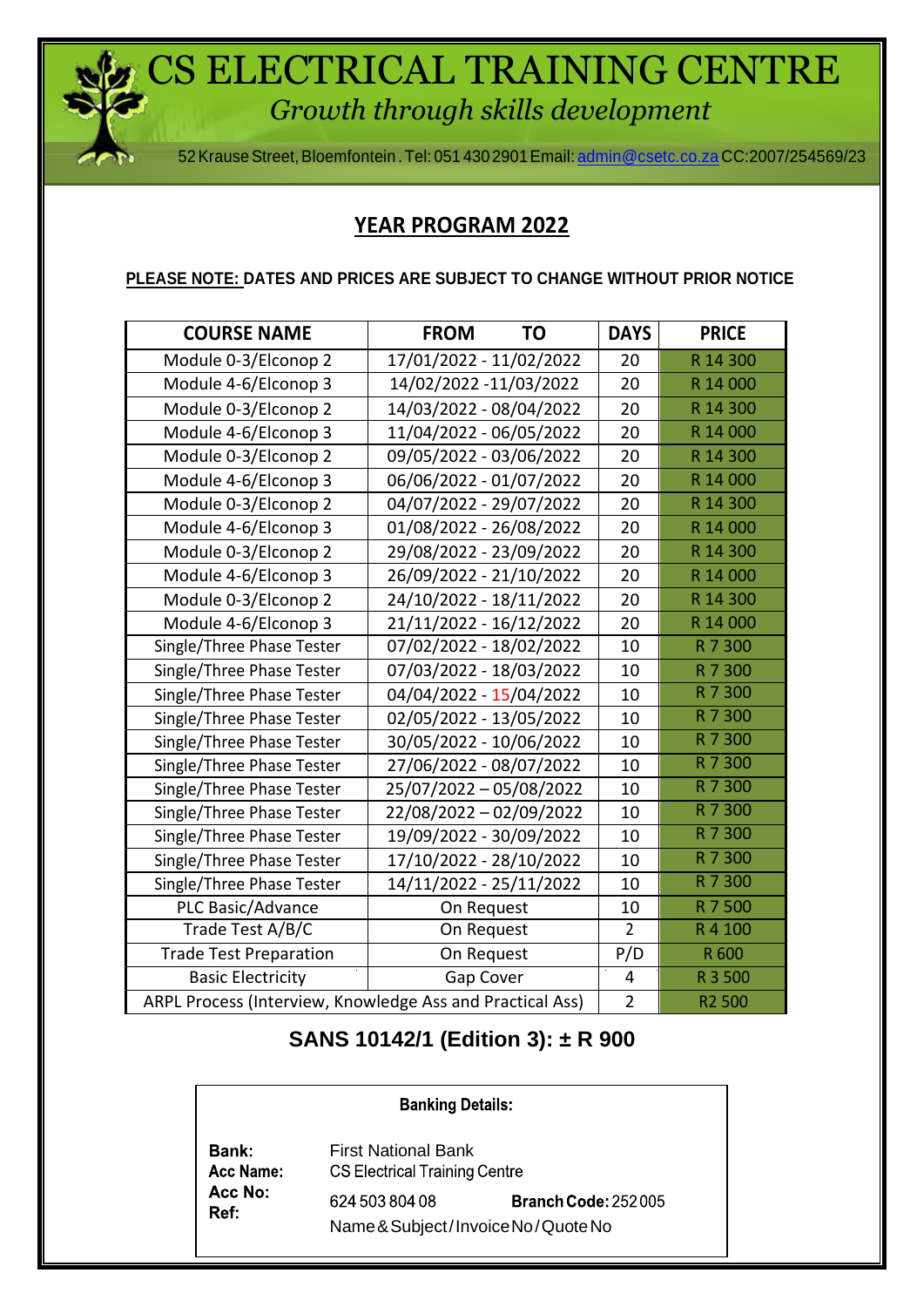CS ELECTRICAL TRAINING CENTRE *Growth through skills development*

52KrauseStreet,Bloemfontein .Tel: 051 430 2901Email: [admin@csetc.co.za](mailto:admin@csetc.co.za) CC:2007/254569/23

#### **YEAR PROGRAM 2022**

**PLEASE NOTE: DATES AND PRICES ARE SUBJECT TO CHANGE WITHOUT PRIOR NOTICE**

| <b>COURSE NAME</b>                                        | <b>FROM</b><br><b>TO</b> | <b>DAYS</b>    | <b>PRICE</b> |
|-----------------------------------------------------------|--------------------------|----------------|--------------|
| Module 0-3/Elconop 2                                      | 17/01/2022 - 11/02/2022  | 20             | R 14 300     |
| Module 4-6/Elconop 3                                      | 14/02/2022 -11/03/2022   | 20             | R 14 000     |
| Module 0-3/Elconop 2                                      | 14/03/2022 - 08/04/2022  | 20             | R 14 300     |
| Module 4-6/Elconop 3                                      | 11/04/2022 - 06/05/2022  | 20             | R 14 000     |
| Module 0-3/Elconop 2                                      | 09/05/2022 - 03/06/2022  | 20             | R 14 300     |
| Module 4-6/Elconop 3                                      | 06/06/2022 - 01/07/2022  | 20             | R 14 000     |
| Module 0-3/Elconop 2                                      | 04/07/2022 - 29/07/2022  | 20             | R 14 300     |
| Module 4-6/Elconop 3                                      | 01/08/2022 - 26/08/2022  | 20             | R 14 000     |
| Module 0-3/Elconop 2                                      | 29/08/2022 - 23/09/2022  | 20             | R 14 300     |
| Module 4-6/Elconop 3                                      | 26/09/2022 - 21/10/2022  | 20             | R 14 000     |
| Module 0-3/Elconop 2                                      | 24/10/2022 - 18/11/2022  | 20             | R 14 300     |
| Module 4-6/Elconop 3                                      | 21/11/2022 - 16/12/2022  | 20             | R 14 000     |
| Single/Three Phase Tester                                 | 07/02/2022 - 18/02/2022  | 10             | R 7 300      |
| Single/Three Phase Tester                                 | 07/03/2022 - 18/03/2022  | 10             | R 7 300      |
| Single/Three Phase Tester                                 | 04/04/2022 - 15/04/2022  | 10             | R 7 300      |
| Single/Three Phase Tester                                 | 02/05/2022 - 13/05/2022  | 10             | R 7 300      |
| Single/Three Phase Tester                                 | 30/05/2022 - 10/06/2022  | 10             | R 7 300      |
| Single/Three Phase Tester                                 | 27/06/2022 - 08/07/2022  | 10             | R 7 300      |
| Single/Three Phase Tester                                 | 25/07/2022 - 05/08/2022  | 10             | R 7 300      |
| Single/Three Phase Tester                                 | 22/08/2022 - 02/09/2022  | 10             | R 7 300      |
| Single/Three Phase Tester                                 | 19/09/2022 - 30/09/2022  | 10             | R 7 300      |
| Single/Three Phase Tester                                 | 17/10/2022 - 28/10/2022  | 10             | R 7 300      |
| Single/Three Phase Tester                                 | 14/11/2022 - 25/11/2022  | 10             | R 7 300      |
| PLC Basic/Advance                                         | On Request               | 10             | R 7 500      |
| Trade Test A/B/C                                          | On Request               | $\overline{2}$ | R 4 100      |
| <b>Trade Test Preparation</b>                             | On Request               | P/D            | R 600        |
| <b>Basic Electricity</b>                                  | Gap Cover                | $\overline{4}$ | R 3 500      |
| ARPL Process (Interview, Knowledge Ass and Practical Ass) | R <sub>2</sub> 500       |                |              |

## **SANS 10142/1 (Edition 3): ± R 900**

| <b>Banking Details:</b>                      |                                                                    |                            |  |  |  |
|----------------------------------------------|--------------------------------------------------------------------|----------------------------|--|--|--|
| <b>Bank:</b><br>Acc Name:<br>Acc No:<br>Ref: | <b>First National Bank</b><br><b>CS Electrical Training Centre</b> |                            |  |  |  |
|                                              | 624 503 804 08<br>Name & Subject/Invoice No/Quote No               | <b>Branch Code: 252005</b> |  |  |  |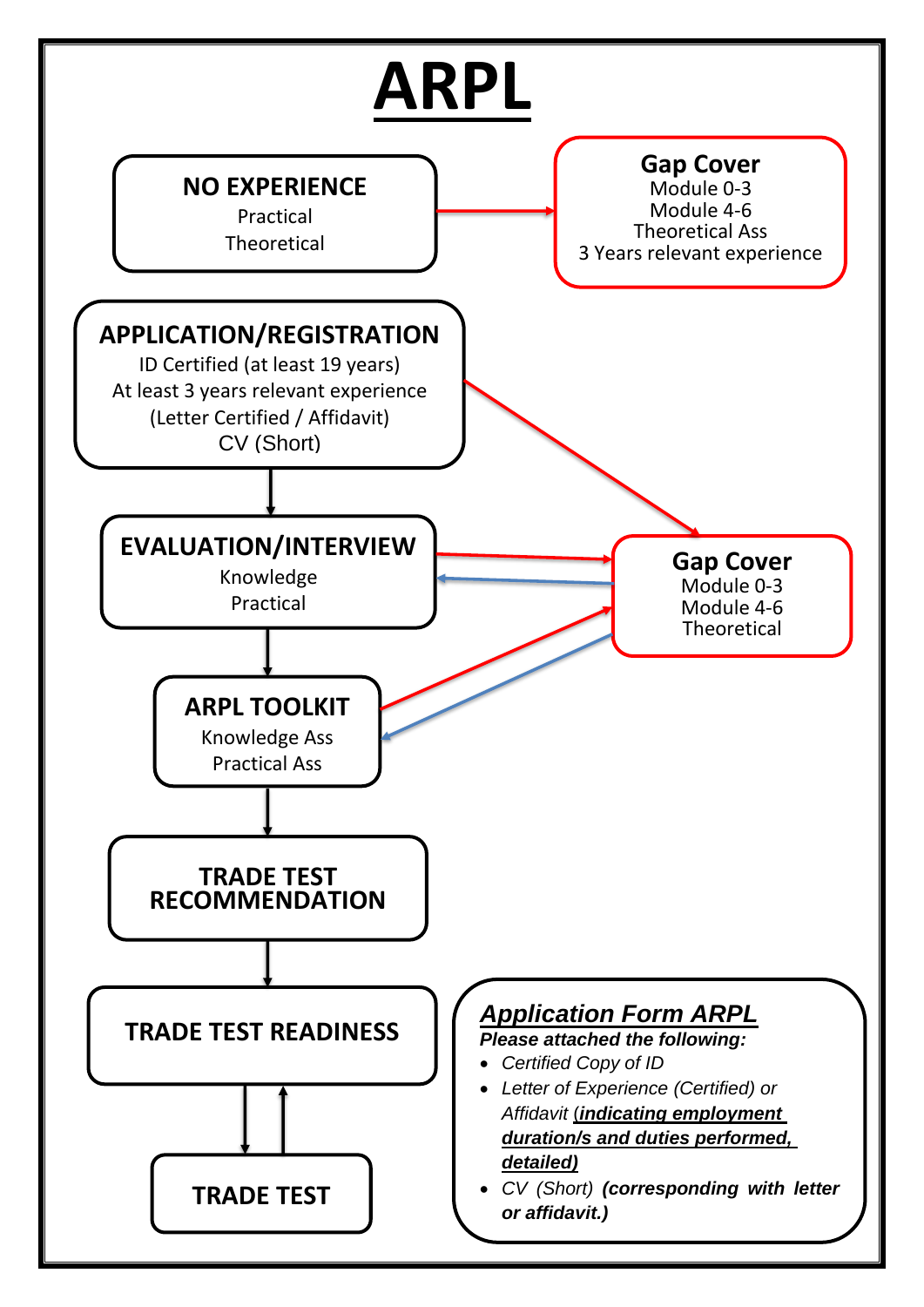